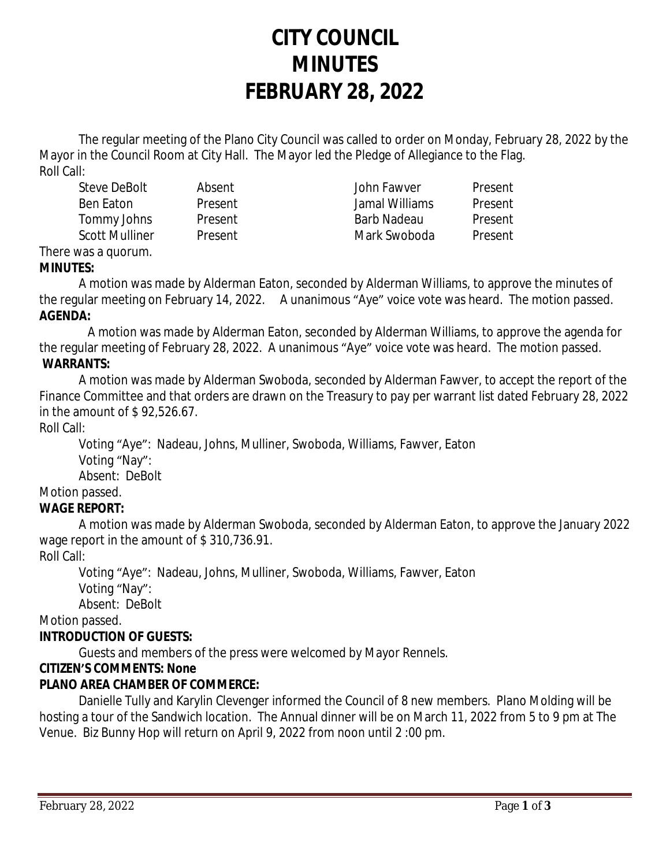# **CITY COUNCIL MINUTES FEBRUARY 28, 2022**

The regular meeting of the Plano City Council was called to order on Monday, February 28, 2022 by the Mayor in the Council Room at City Hall. The Mayor led the Pledge of Allegiance to the Flag. Roll Call:

Steve DeBolt Absent John Fawver Present Ben Eaton Present Jamal Williams Present Tommy Johns Present Barb Nadeau Present Scott Mulliner and Present Mark Swoboda Present

There was a quorum.

**MINUTES:**

A motion was made by Alderman Eaton, seconded by Alderman Williams, to approve the minutes of the regular meeting on February 14, 2022. A unanimous "Aye" voice vote was heard. The motion passed. **AGENDA:**

 A motion was made by Alderman Eaton, seconded by Alderman Williams, to approve the agenda for the regular meeting of February 28, 2022. A unanimous "Aye" voice vote was heard. The motion passed. **WARRANTS:**

A motion was made by Alderman Swoboda, seconded by Alderman Fawver, to accept the report of the Finance Committee and that orders are drawn on the Treasury to pay per warrant list dated February 28, 2022 in the amount of \$ 92,526.67.

Roll Call:

Voting "Aye": Nadeau, Johns, Mulliner, Swoboda, Williams, Fawver, Eaton Voting "Nay":

Absent: DeBolt

Motion passed.

# **WAGE REPORT:**

A motion was made by Alderman Swoboda, seconded by Alderman Eaton, to approve the January 2022 wage report in the amount of \$310,736.91.

Roll Call:

Voting "Aye": Nadeau, Johns, Mulliner, Swoboda, Williams, Fawver, Eaton

Voting "Nay":

Absent: DeBolt

Motion passed.

# **INTRODUCTION OF GUESTS:**

Guests and members of the press were welcomed by Mayor Rennels.

# **CITIZEN'S COMMENTS: None**

# **PLANO AREA CHAMBER OF COMMERCE:**

Danielle Tully and Karylin Clevenger informed the Council of 8 new members. Plano Molding will be hosting a tour of the Sandwich location. The Annual dinner will be on March 11, 2022 from 5 to 9 pm at The Venue. Biz Bunny Hop will return on April 9, 2022 from noon until 2 :00 pm.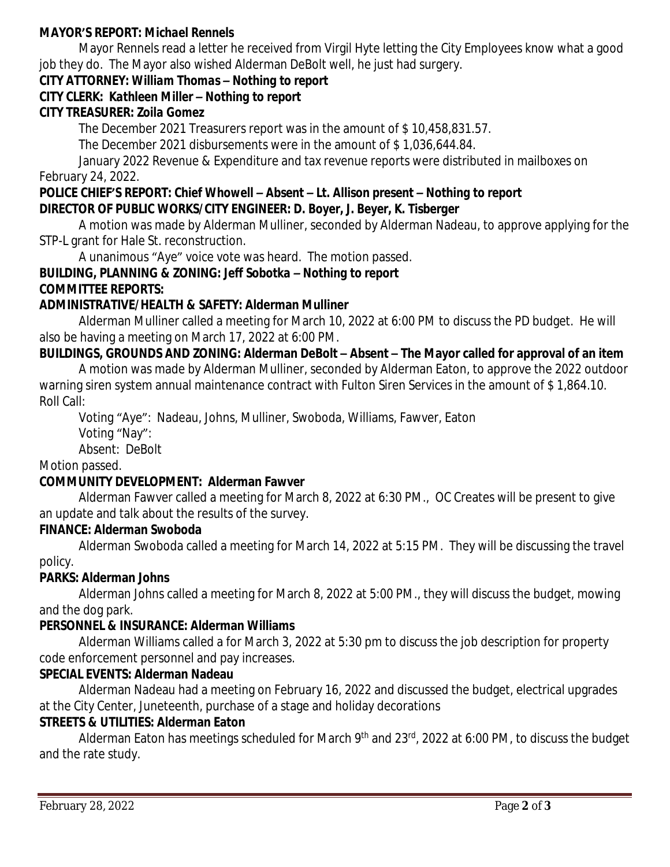#### **MAYOR'S REPORT:** *Michael Rennels*

Mayor Rennels read a letter he received from Virgil Hyte letting the City Employees know what a good job they do. The Mayor also wished Alderman DeBolt well, he just had surgery.

#### **CITY ATTORNEY:** *William Thomas – Nothing to report*

#### **CITY CLERK:** *Kathleen Miller – Nothing to report*

#### **CITY TREASURER***: Zoila Gomez*

The December 2021 Treasurers report was in the amount of \$ 10,458,831.57.

The December 2021 disbursements were in the amount of \$ 1,036,644.84.

January 2022 Revenue & Expenditure and tax revenue reports were distributed in mailboxes on February 24, 2022.

#### **POLICE CHIEF'S REPORT:** *Chief Whowell – Absent – Lt. Allison present – Nothing to report* **DIRECTOR OF PUBLIC WORKS/CITY ENGINEER***: D. Boyer, J. Beyer, K. Tisberger*

A motion was made by Alderman Mulliner, seconded by Alderman Nadeau, to approve applying for the STP-L grant for Hale St. reconstruction.

A unanimous "Aye" voice vote was heard. The motion passed.

## **BUILDING, PLANNING & ZONING:** *Jeff Sobotka – Nothing to report* **COMMITTEE REPORTS:**

#### **ADMINISTRATIVE/HEALTH & SAFETY: Alderman Mulliner**

Alderman Mulliner called a meeting for March 10, 2022 at 6:00 PM to discuss the PD budget. He will also be having a meeting on March 17, 2022 at 6:00 PM.

## **BUILDINGS, GROUNDS AND ZONING: Alderman DeBolt – Absent – The Mayor called for approval of an item**

A motion was made by Alderman Mulliner, seconded by Alderman Eaton, to approve the 2022 outdoor warning siren system annual maintenance contract with Fulton Siren Services in the amount of \$ 1,864.10. Roll Call:

Voting "Aye": Nadeau, Johns, Mulliner, Swoboda, Williams, Fawver, Eaton

Voting "Nay":

Absent: DeBolt

## Motion passed.

#### **COMMUNITY DEVELOPMENT: Alderman Fawver**

Alderman Fawver called a meeting for March 8, 2022 at 6:30 PM., OC Creates will be present to give an update and talk about the results of the survey.

#### **FINANCE: Alderman Swoboda**

Alderman Swoboda called a meeting for March 14, 2022 at 5:15 PM. They will be discussing the travel policy.

#### **PARKS: Alderman Johns**

Alderman Johns called a meeting for March 8, 2022 at 5:00 PM., they will discuss the budget, mowing and the dog park.

#### **PERSONNEL & INSURANCE: Alderman Williams**

Alderman Williams called a for March 3, 2022 at 5:30 pm to discuss the job description for property code enforcement personnel and pay increases.

#### **SPECIAL EVENTS: Alderman Nadeau**

Alderman Nadeau had a meeting on February 16, 2022 and discussed the budget, electrical upgrades at the City Center, Juneteenth, purchase of a stage and holiday decorations

#### **STREETS & UTILITIES: Alderman Eaton**

Alderman Eaton has meetings scheduled for March 9<sup>th</sup> and 23<sup>rd</sup>, 2022 at 6:00 PM, to discuss the budget and the rate study.